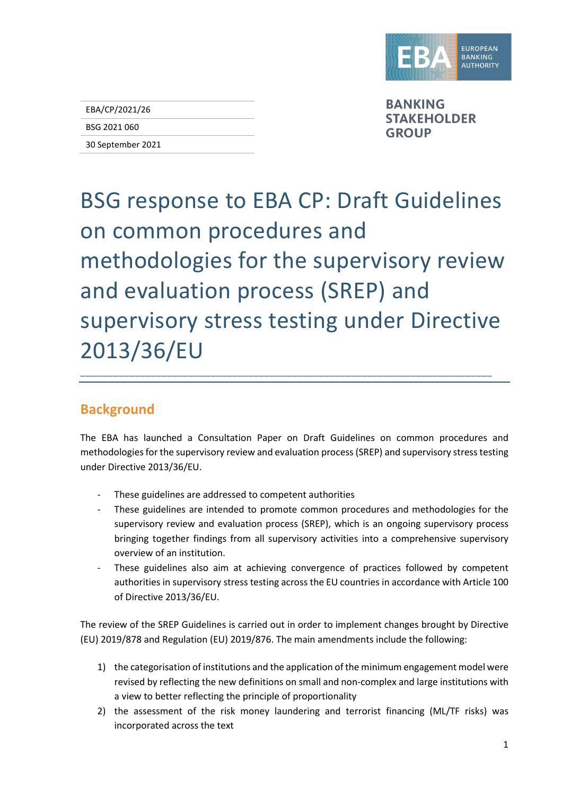

EBA/CP/2021/26

## BSG 2021 060

30 September 2021

**BANKING STAKEHOLDER GROUP** 

## BSG response to EBA CP: Draft Guidelines on common procedures and methodologies for the supervisory review and evaluation process (SREP) and supervisory stress testing under Directive 2013/36/EU

## **Background**

The EBA has launched a Consultation Paper on Draft Guidelines on common procedures and methodologies for the supervisory review and evaluation process (SREP) and supervisory stress testing under Directive 2013/36/EU.

\_\_\_\_\_\_\_\_\_\_\_\_\_\_\_\_\_\_\_\_\_\_\_\_\_\_\_\_\_\_\_\_\_\_\_\_\_\_\_\_\_\_\_\_\_\_\_\_\_\_\_\_\_\_\_\_\_\_\_\_\_\_\_\_\_\_\_\_\_\_\_\_\_\_\_\_

- These guidelines are addressed to competent authorities
- These guidelines are intended to promote common procedures and methodologies for the supervisory review and evaluation process (SREP), which is an ongoing supervisory process bringing together findings from all supervisory activities into a comprehensive supervisory overview of an institution.
- These guidelines also aim at achieving convergence of practices followed by competent authorities in supervisory stress testing across the EU countries in accordance with Article 100 of Directive 2013/36/EU.

The review of the SREP Guidelines is carried out in order to implement changes brought by Directive (EU) 2019/878 and Regulation (EU) 2019/876. The main amendments include the following:

- 1) the categorisation of institutions and the application of the minimum engagement model were revised by reflecting the new definitions on small and non-complex and large institutions with a view to better reflecting the principle of proportionality
- 2) the assessment of the risk money laundering and terrorist financing (ML/TF risks) was incorporated across the text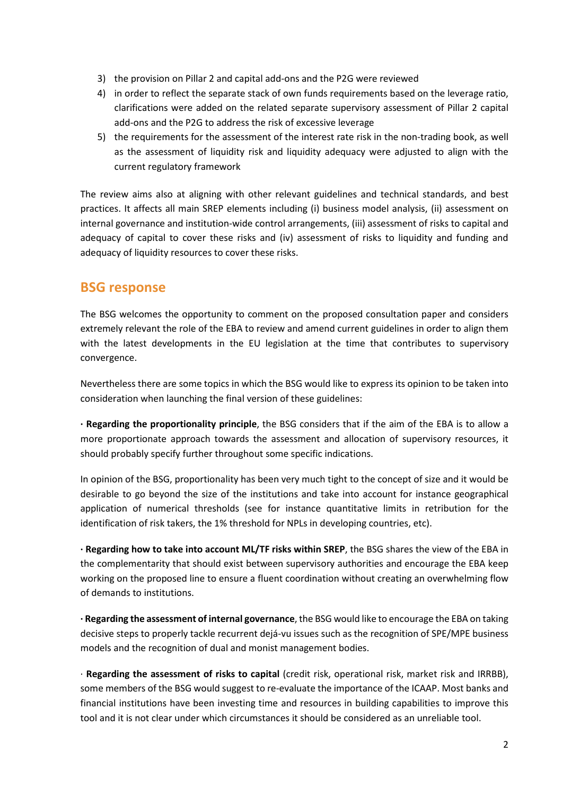- 3) the provision on Pillar 2 and capital add-ons and the P2G were reviewed
- 4) in order to reflect the separate stack of own funds requirements based on the leverage ratio, clarifications were added on the related separate supervisory assessment of Pillar 2 capital add-ons and the P2G to address the risk of excessive leverage
- 5) the requirements for the assessment of the interest rate risk in the non-trading book, as well as the assessment of liquidity risk and liquidity adequacy were adjusted to align with the current regulatory framework

The review aims also at aligning with other relevant guidelines and technical standards, and best practices. It affects all main SREP elements including (i) business model analysis, (ii) assessment on internal governance and institution-wide control arrangements, (iii) assessment of risks to capital and adequacy of capital to cover these risks and (iv) assessment of risks to liquidity and funding and adequacy of liquidity resources to cover these risks.

## **BSG response**

The BSG welcomes the opportunity to comment on the proposed consultation paper and considers extremely relevant the role of the EBA to review and amend current guidelines in order to align them with the latest developments in the EU legislation at the time that contributes to supervisory convergence.

Nevertheless there are some topics in which the BSG would like to express its opinion to be taken into consideration when launching the final version of these guidelines:

**· Regarding the proportionality principle**, the BSG considers that if the aim of the EBA is to allow a more proportionate approach towards the assessment and allocation of supervisory resources, it should probably specify further throughout some specific indications.

In opinion of the BSG, proportionality has been very much tight to the concept of size and it would be desirable to go beyond the size of the institutions and take into account for instance geographical application of numerical thresholds (see for instance quantitative limits in retribution for the identification of risk takers, the 1% threshold for NPLs in developing countries, etc).

**· Regarding how to take into account ML/TF risks within SREP**, the BSG shares the view of the EBA in the complementarity that should exist between supervisory authorities and encourage the EBA keep working on the proposed line to ensure a fluent coordination without creating an overwhelming flow of demands to institutions.

**· Regarding the assessment of internal governance**, the BSG would like to encourage the EBA on taking decisive steps to properly tackle recurrent dejá-vu issues such as the recognition of SPE/MPE business models and the recognition of dual and monist management bodies.

· **Regarding the assessment of risks to capital** (credit risk, operational risk, market risk and IRRBB), some members of the BSG would suggest to re-evaluate the importance of the ICAAP. Most banks and financial institutions have been investing time and resources in building capabilities to improve this tool and it is not clear under which circumstances it should be considered as an unreliable tool.